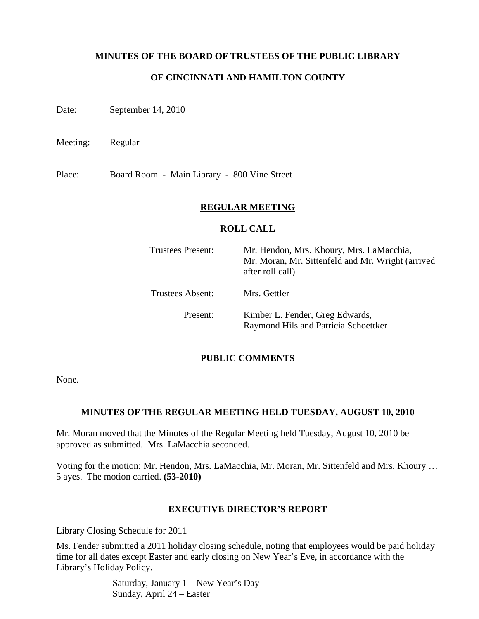## **MINUTES OF THE BOARD OF TRUSTEES OF THE PUBLIC LIBRARY**

## **OF CINCINNATI AND HAMILTON COUNTY**

Date: September 14, 2010

Meeting: Regular

Place: Board Room - Main Library - 800 Vine Street

### **REGULAR MEETING**

### **ROLL CALL**

| <b>Trustees Present:</b> | Mr. Hendon, Mrs. Khoury, Mrs. LaMacchia,<br>Mr. Moran, Mr. Sittenfeld and Mr. Wright (arrived<br>after roll call) |  |  |
|--------------------------|-------------------------------------------------------------------------------------------------------------------|--|--|
| Trustees Absent:         | Mrs. Gettler                                                                                                      |  |  |
| Present:                 | Kimber L. Fender, Greg Edwards,<br>Raymond Hils and Patricia Schoettker                                           |  |  |

### **PUBLIC COMMENTS**

None.

### **MINUTES OF THE REGULAR MEETING HELD TUESDAY, AUGUST 10, 2010**

Mr. Moran moved that the Minutes of the Regular Meeting held Tuesday, August 10, 2010 be approved as submitted. Mrs. LaMacchia seconded.

Voting for the motion: Mr. Hendon, Mrs. LaMacchia, Mr. Moran, Mr. Sittenfeld and Mrs. Khoury … 5 ayes. The motion carried. **(53-2010)**

### **EXECUTIVE DIRECTOR'S REPORT**

Library Closing Schedule for 2011

Ms. Fender submitted a 2011 holiday closing schedule, noting that employees would be paid holiday time for all dates except Easter and early closing on New Year's Eve, in accordance with the Library's Holiday Policy.

> Saturday, January 1 – New Year's Day Sunday, April 24 – Easter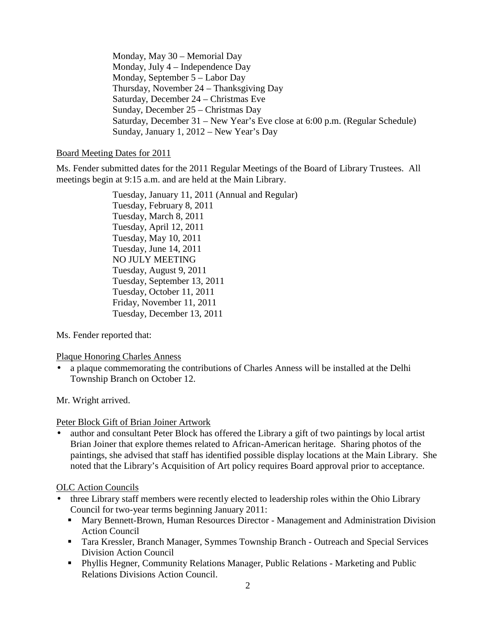Monday, May 30 – Memorial Day Monday, July 4 – Independence Day Monday, September 5 – Labor Day Thursday, November 24 – Thanksgiving Day Saturday, December 24 – Christmas Eve Sunday, December 25 – Christmas Day Saturday, December 31 – New Year's Eve close at 6:00 p.m. (Regular Schedule) Sunday, January 1, 2012 – New Year's Day

### Board Meeting Dates for 2011

Ms. Fender submitted dates for the 2011 Regular Meetings of the Board of Library Trustees. All meetings begin at 9:15 a.m. and are held at the Main Library.

> Tuesday, January 11, 2011 (Annual and Regular) Tuesday, February 8, 2011 Tuesday, March 8, 2011 Tuesday, April 12, 2011 Tuesday, May 10, 2011 Tuesday, June 14, 2011 NO JULY MEETING Tuesday, August 9, 2011 Tuesday, September 13, 2011 Tuesday, October 11, 2011 Friday, November 11, 2011 Tuesday, December 13, 2011

Ms. Fender reported that:

Plaque Honoring Charles Anness

• a plaque commemorating the contributions of Charles Anness will be installed at the Delhi Township Branch on October 12.

Mr. Wright arrived.

## Peter Block Gift of Brian Joiner Artwork

• author and consultant Peter Block has offered the Library a gift of two paintings by local artist Brian Joiner that explore themes related to African-American heritage. Sharing photos of the paintings, she advised that staff has identified possible display locations at the Main Library. She noted that the Library's Acquisition of Art policy requires Board approval prior to acceptance.

## OLC Action Councils

- three Library staff members were recently elected to leadership roles within the Ohio Library Council for two-year terms beginning January 2011:
	- Mary Bennett-Brown, Human Resources Director Management and Administration Division Action Council
	- Tara Kressler, Branch Manager, Symmes Township Branch Outreach and Special Services Division Action Council
	- Phyllis Hegner, Community Relations Manager, Public Relations Marketing and Public Relations Divisions Action Council.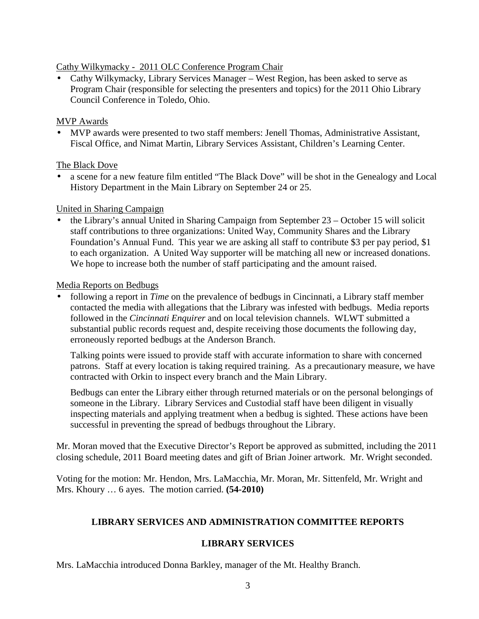# Cathy Wilkymacky - 2011 OLC Conference Program Chair

• Cathy Wilkymacky, Library Services Manager – West Region, has been asked to serve as Program Chair (responsible for selecting the presenters and topics) for the 2011 Ohio Library Council Conference in Toledo, Ohio.

# MVP Awards

• MVP awards were presented to two staff members: Jenell Thomas, Administrative Assistant, Fiscal Office, and Nimat Martin, Library Services Assistant, Children's Learning Center.

# The Black Dove

• a scene for a new feature film entitled "The Black Dove" will be shot in the Genealogy and Local History Department in the Main Library on September 24 or 25.

# United in Sharing Campaign

• the Library's annual United in Sharing Campaign from September 23 – October 15 will solicit staff contributions to three organizations: United Way, Community Shares and the Library Foundation's Annual Fund. This year we are asking all staff to contribute \$3 per pay period, \$1 to each organization. A United Way supporter will be matching all new or increased donations. We hope to increase both the number of staff participating and the amount raised.

# Media Reports on Bedbugs

• following a report in *Time* on the prevalence of bedbugs in Cincinnati, a Library staff member contacted the media with allegations that the Library was infested with bedbugs. Media reports followed in the *Cincinnati Enquirer* and on local television channels. WLWT submitted a substantial public records request and, despite receiving those documents the following day, erroneously reported bedbugs at the Anderson Branch.

Talking points were issued to provide staff with accurate information to share with concerned patrons. Staff at every location is taking required training. As a precautionary measure, we have contracted with Orkin to inspect every branch and the Main Library.

Bedbugs can enter the Library either through returned materials or on the personal belongings of someone in the Library. Library Services and Custodial staff have been diligent in visually inspecting materials and applying treatment when a bedbug is sighted. These actions have been successful in preventing the spread of bedbugs throughout the Library.

Mr. Moran moved that the Executive Director's Report be approved as submitted, including the 2011 closing schedule, 2011 Board meeting dates and gift of Brian Joiner artwork. Mr. Wright seconded.

Voting for the motion: Mr. Hendon, Mrs. LaMacchia, Mr. Moran, Mr. Sittenfeld, Mr. Wright and Mrs. Khoury … 6 ayes. The motion carried. **(54-2010)**

# **LIBRARY SERVICES AND ADMINISTRATION COMMITTEE REPORTS**

# **LIBRARY SERVICES**

Mrs. LaMacchia introduced Donna Barkley, manager of the Mt. Healthy Branch.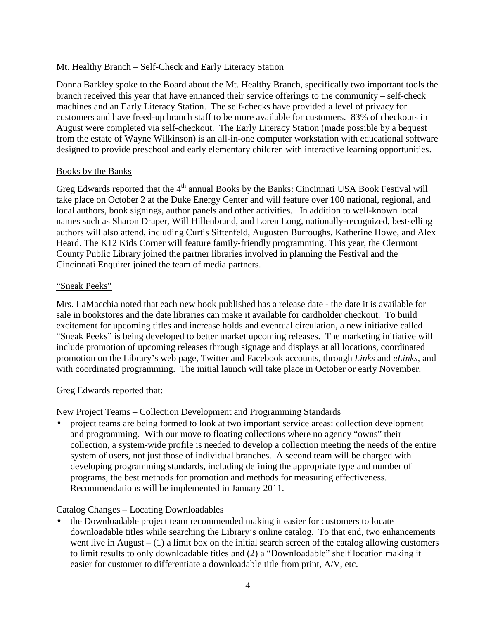# Mt. Healthy Branch – Self-Check and Early Literacy Station

Donna Barkley spoke to the Board about the Mt. Healthy Branch, specifically two important tools the branch received this year that have enhanced their service offerings to the community – self-check machines and an Early Literacy Station. The self-checks have provided a level of privacy for customers and have freed-up branch staff to be more available for customers. 83% of checkouts in August were completed via self-checkout. The Early Literacy Station (made possible by a bequest from the estate of Wayne Wilkinson) is an all-in-one computer workstation with educational software designed to provide preschool and early elementary children with interactive learning opportunities.

## Books by the Banks

Greg Edwards reported that the 4<sup>th</sup> annual Books by the Banks: Cincinnati USA Book Festival will take place on October 2 at the Duke Energy Center and will feature over 100 national, regional, and local authors, book signings, author panels and other activities. In addition to well-known local names such as Sharon Draper, Will Hillenbrand, and Loren Long, nationally-recognized, bestselling authors will also attend, including Curtis Sittenfeld, Augusten Burroughs, Katherine Howe, and Alex Heard. The K12 Kids Corner will feature family-friendly programming. This year, the Clermont County Public Library joined the partner libraries involved in planning the Festival and the Cincinnati Enquirer joined the team of media partners.

## "Sneak Peeks"

Mrs. LaMacchia noted that each new book published has a release date - the date it is available for sale in bookstores and the date libraries can make it available for cardholder checkout. To build excitement for upcoming titles and increase holds and eventual circulation, a new initiative called "Sneak Peeks" is being developed to better market upcoming releases. The marketing initiative will include promotion of upcoming releases through signage and displays at all locations, coordinated promotion on the Library's web page, Twitter and Facebook accounts, through *Links* and *eLinks*, and with coordinated programming. The initial launch will take place in October or early November.

Greg Edwards reported that:

## New Project Teams – Collection Development and Programming Standards

• project teams are being formed to look at two important service areas: collection development and programming. With our move to floating collections where no agency "owns" their collection, a system-wide profile is needed to develop a collection meeting the needs of the entire system of users, not just those of individual branches. A second team will be charged with developing programming standards, including defining the appropriate type and number of programs, the best methods for promotion and methods for measuring effectiveness. Recommendations will be implemented in January 2011.

## Catalog Changes – Locating Downloadables

• the Downloadable project team recommended making it easier for customers to locate downloadable titles while searching the Library's online catalog. To that end, two enhancements went live in August  $- (1)$  a limit box on the initial search screen of the catalog allowing customers to limit results to only downloadable titles and (2) a "Downloadable" shelf location making it easier for customer to differentiate a downloadable title from print, A/V, etc.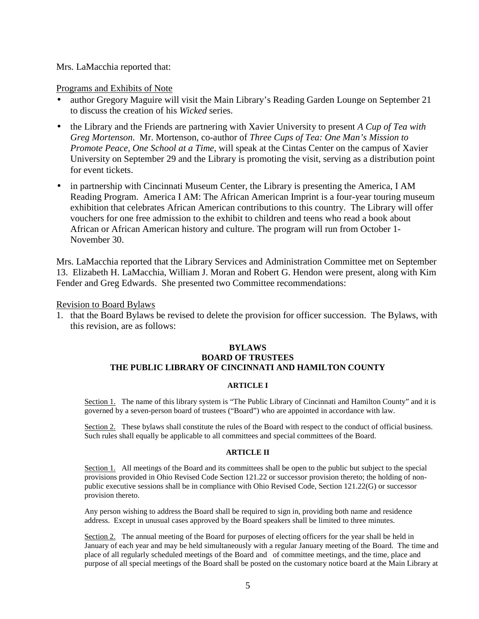### Mrs. LaMacchia reported that:

### Programs and Exhibits of Note

- author Gregory Maguire will visit the Main Library's Reading Garden Lounge on September 21 to discuss the creation of his *Wicked* series.
- the Library and the Friends are partnering with Xavier University to present *A Cup of Tea with Greg Mortenson*. Mr. Mortenson, co-author of *Three Cups of Tea: One Man's Mission to Promote Peace, One School at a Time*, will speak at the Cintas Center on the campus of Xavier University on September 29 and the Library is promoting the visit, serving as a distribution point for event tickets.
- in partnership with Cincinnati Museum Center, the Library is presenting the America, I AM Reading Program. America I AM: The African American Imprint is a four-year touring museum exhibition that celebrates African American contributions to this country. The Library will offer vouchers for one free admission to the exhibit to children and teens who read a book about African or African American history and culture. The program will run from October 1- November 30.

Mrs. LaMacchia reported that the Library Services and Administration Committee met on September 13. Elizabeth H. LaMacchia, William J. Moran and Robert G. Hendon were present, along with Kim Fender and Greg Edwards. She presented two Committee recommendations:

### Revision to Board Bylaws

1. that the Board Bylaws be revised to delete the provision for officer succession. The Bylaws, with this revision, are as follows:

### **BYLAWS BOARD OF TRUSTEES THE PUBLIC LIBRARY OF CINCINNATI AND HAMILTON COUNTY**

### **ARTICLE I**

Section 1. The name of this library system is "The Public Library of Cincinnati and Hamilton County" and it is governed by a seven-person board of trustees ("Board") who are appointed in accordance with law.

Section 2. These bylaws shall constitute the rules of the Board with respect to the conduct of official business. Such rules shall equally be applicable to all committees and special committees of the Board.

#### **ARTICLE II**

Section 1. All meetings of the Board and its committees shall be open to the public but subject to the special provisions provided in Ohio Revised Code Section 121.22 or successor provision thereto; the holding of nonpublic executive sessions shall be in compliance with Ohio Revised Code, Section 121.22(G) or successor provision thereto.

Any person wishing to address the Board shall be required to sign in, providing both name and residence address. Except in unusual cases approved by the Board speakers shall be limited to three minutes.

Section 2. The annual meeting of the Board for purposes of electing officers for the year shall be held in January of each year and may be held simultaneously with a regular January meeting of the Board. The time and place of all regularly scheduled meetings of the Board and of committee meetings, and the time, place and purpose of all special meetings of the Board shall be posted on the customary notice board at the Main Library at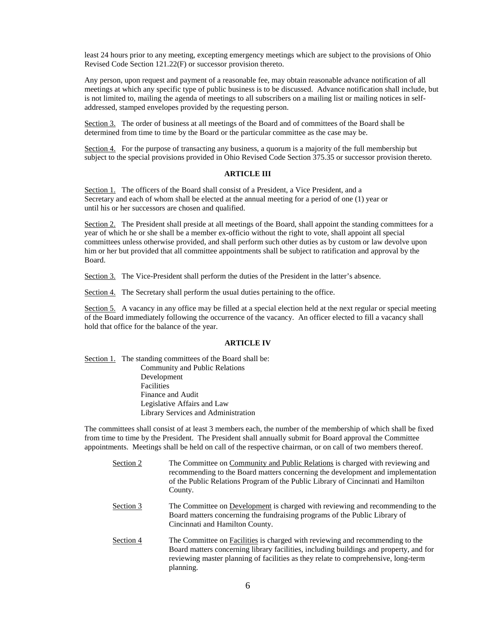least 24 hours prior to any meeting, excepting emergency meetings which are subject to the provisions of Ohio Revised Code Section 121.22(F) or successor provision thereto.

Any person, upon request and payment of a reasonable fee, may obtain reasonable advance notification of all meetings at which any specific type of public business is to be discussed. Advance notification shall include, but is not limited to, mailing the agenda of meetings to all subscribers on a mailing list or mailing notices in selfaddressed, stamped envelopes provided by the requesting person.

Section 3. The order of business at all meetings of the Board and of committees of the Board shall be determined from time to time by the Board or the particular committee as the case may be.

Section 4. For the purpose of transacting any business, a quorum is a majority of the full membership but subject to the special provisions provided in Ohio Revised Code Section 375.35 or successor provision thereto.

#### **ARTICLE III**

Section 1. The officers of the Board shall consist of a President, a Vice President, and a Secretary and each of whom shall be elected at the annual meeting for a period of one (1) year or until his or her successors are chosen and qualified.

Section 2. The President shall preside at all meetings of the Board, shall appoint the standing committees for a year of which he or she shall be a member ex-officio without the right to vote, shall appoint all special committees unless otherwise provided, and shall perform such other duties as by custom or law devolve upon him or her but provided that all committee appointments shall be subject to ratification and approval by the Board.

Section 3. The Vice-President shall perform the duties of the President in the latter's absence.

Section 4. The Secretary shall perform the usual duties pertaining to the office.

Section 5. A vacancy in any office may be filled at a special election held at the next regular or special meeting of the Board immediately following the occurrence of the vacancy. An officer elected to fill a vacancy shall hold that office for the balance of the year.

#### **ARTICLE IV**

Section 1. The standing committees of the Board shall be: Community and Public Relations Development Facilities Finance and Audit Legislative Affairs and Law Library Services and Administration

The committees shall consist of at least 3 members each, the number of the membership of which shall be fixed from time to time by the President. The President shall annually submit for Board approval the Committee appointments. Meetings shall be held on call of the respective chairman, or on call of two members thereof.

| Section 2 | The Committee on Community and Public Relations is charged with reviewing and<br>recommending to the Board matters concerning the development and implementation<br>of the Public Relations Program of the Public Library of Cincinnati and Hamilton<br>County.            |
|-----------|----------------------------------------------------------------------------------------------------------------------------------------------------------------------------------------------------------------------------------------------------------------------------|
| Section 3 | The Committee on Development is charged with reviewing and recommending to the<br>Board matters concerning the fundraising programs of the Public Library of<br>Cincinnati and Hamilton County.                                                                            |
| Section 4 | The Committee on Facilities is charged with reviewing and recommending to the<br>Board matters concerning library facilities, including buildings and property, and for<br>reviewing master planning of facilities as they relate to comprehensive, long-term<br>planning. |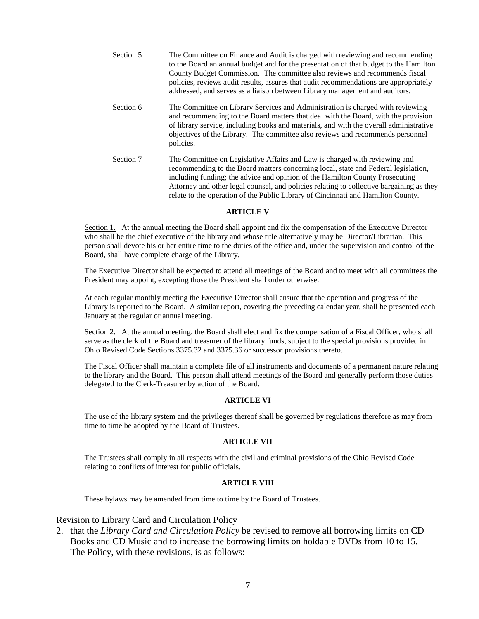| Section 5 | The Committee on Finance and Audit is charged with reviewing and recommending<br>to the Board an annual budget and for the presentation of that budget to the Hamilton<br>County Budget Commission. The committee also reviews and recommends fiscal<br>policies, reviews audit results, assures that audit recommendations are appropriately<br>addressed, and serves as a liaison between Library management and auditors.     |
|-----------|----------------------------------------------------------------------------------------------------------------------------------------------------------------------------------------------------------------------------------------------------------------------------------------------------------------------------------------------------------------------------------------------------------------------------------|
| Section 6 | The Committee on Library Services and Administration is charged with reviewing<br>and recommending to the Board matters that deal with the Board, with the provision<br>of library service, including books and materials, and with the overall administrative<br>objectives of the Library. The committee also reviews and recommends personnel<br>policies.                                                                    |
| Section 7 | The Committee on Legislative Affairs and Law is charged with reviewing and<br>recommending to the Board matters concerning local, state and Federal legislation,<br>including funding; the advice and opinion of the Hamilton County Prosecuting<br>Attorney and other legal counsel, and policies relating to collective bargaining as they<br>relate to the operation of the Public Library of Cincinnati and Hamilton County. |

#### **ARTICLE V**

Section 1. At the annual meeting the Board shall appoint and fix the compensation of the Executive Director who shall be the chief executive of the library and whose title alternatively may be Director/Librarian. This person shall devote his or her entire time to the duties of the office and, under the supervision and control of the Board, shall have complete charge of the Library.

The Executive Director shall be expected to attend all meetings of the Board and to meet with all committees the President may appoint, excepting those the President shall order otherwise.

At each regular monthly meeting the Executive Director shall ensure that the operation and progress of the Library is reported to the Board. A similar report, covering the preceding calendar year, shall be presented each January at the regular or annual meeting.

Section 2. At the annual meeting, the Board shall elect and fix the compensation of a Fiscal Officer, who shall serve as the clerk of the Board and treasurer of the library funds, subject to the special provisions provided in Ohio Revised Code Sections 3375.32 and 3375.36 or successor provisions thereto.

The Fiscal Officer shall maintain a complete file of all instruments and documents of a permanent nature relating to the library and the Board. This person shall attend meetings of the Board and generally perform those duties delegated to the Clerk-Treasurer by action of the Board.

#### **ARTICLE VI**

The use of the library system and the privileges thereof shall be governed by regulations therefore as may from time to time be adopted by the Board of Trustees.

#### **ARTICLE VII**

The Trustees shall comply in all respects with the civil and criminal provisions of the Ohio Revised Code relating to conflicts of interest for public officials.

#### **ARTICLE VIII**

These bylaws may be amended from time to time by the Board of Trustees.

### Revision to Library Card and Circulation Policy

2. that the *Library Card and Circulation Policy* be revised to remove all borrowing limits on CD Books and CD Music and to increase the borrowing limits on holdable DVDs from 10 to 15. The Policy, with these revisions, is as follows: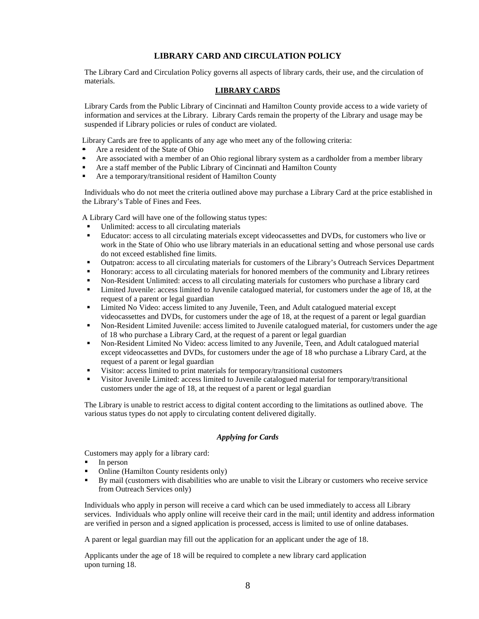### **LIBRARY CARD AND CIRCULATION POLICY**

The Library Card and Circulation Policy governs all aspects of library cards, their use, and the circulation of materials.

#### **LIBRARY CARDS**

Library Cards from the Public Library of Cincinnati and Hamilton County provide access to a wide variety of information and services at the Library. Library Cards remain the property of the Library and usage may be suspended if Library policies or rules of conduct are violated.

Library Cards are free to applicants of any age who meet any of the following criteria:

- Are a resident of the State of Ohio
- Are associated with a member of an Ohio regional library system as a cardholder from a member library
- Are a staff member of the Public Library of Cincinnati and Hamilton County
- Are a temporary/transitional resident of Hamilton County

 Individuals who do not meet the criteria outlined above may purchase a Library Card at the price established in the Library's Table of Fines and Fees.

A Library Card will have one of the following status types:

- Unlimited: access to all circulating materials
- Educator: access to all circulating materials except videocassettes and DVDs, for customers who live or work in the State of Ohio who use library materials in an educational setting and whose personal use cards do not exceed established fine limits.
- Outpatron: access to all circulating materials for customers of the Library's Outreach Services Department
- Honorary: access to all circulating materials for honored members of the community and Library retirees
- Non-Resident Unlimited: access to all circulating materials for customers who purchase a library card
- Limited Juvenile: access limited to Juvenile catalogued material, for customers under the age of 18, at the request of a parent or legal guardian
- Limited No Video: access limited to any Juvenile, Teen, and Adult catalogued material except videocassettes and DVDs, for customers under the age of 18, at the request of a parent or legal guardian
- Non-Resident Limited Juvenile: access limited to Juvenile catalogued material, for customers under the age of 18 who purchase a Library Card, at the request of a parent or legal guardian
- Non-Resident Limited No Video: access limited to any Juvenile, Teen, and Adult catalogued material except videocassettes and DVDs, for customers under the age of 18 who purchase a Library Card, at the request of a parent or legal guardian
- Visitor: access limited to print materials for temporary/transitional customers
- Visitor Juvenile Limited: access limited to Juvenile catalogued material for temporary/transitional customers under the age of 18, at the request of a parent or legal guardian

The Library is unable to restrict access to digital content according to the limitations as outlined above. The various status types do not apply to circulating content delivered digitally.

### *Applying for Cards*

Customers may apply for a library card:

- In person
- Online (Hamilton County residents only)
- By mail (customers with disabilities who are unable to visit the Library or customers who receive service from Outreach Services only)

Individuals who apply in person will receive a card which can be used immediately to access all Library services. Individuals who apply online will receive their card in the mail; until identity and address information are verified in person and a signed application is processed, access is limited to use of online databases.

A parent or legal guardian may fill out the application for an applicant under the age of 18.

Applicants under the age of 18 will be required to complete a new library card application upon turning 18.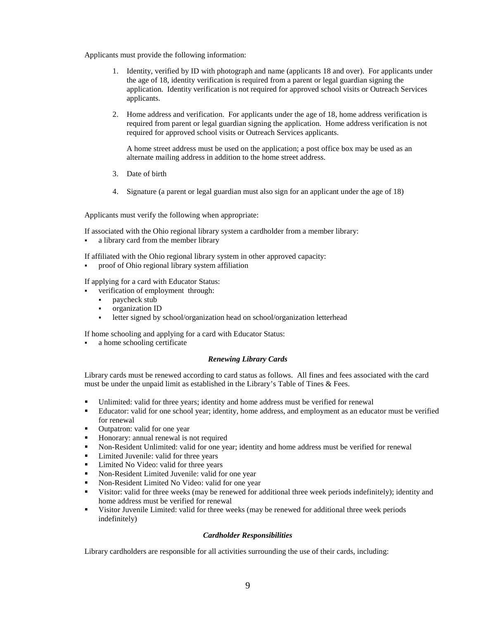Applicants must provide the following information:

- 1. Identity, verified by ID with photograph and name (applicants 18 and over). For applicants under the age of 18, identity verification is required from a parent or legal guardian signing the application. Identity verification is not required for approved school visits or Outreach Services applicants.
- 2. Home address and verification. For applicants under the age of 18, home address verification is required from parent or legal guardian signing the application. Home address verification is not required for approved school visits or Outreach Services applicants.

A home street address must be used on the application; a post office box may be used as an alternate mailing address in addition to the home street address.

- 3. Date of birth
- 4. Signature (a parent or legal guardian must also sign for an applicant under the age of 18)

Applicants must verify the following when appropriate:

If associated with the Ohio regional library system a cardholder from a member library:

- a library card from the member library
- If affiliated with the Ohio regional library system in other approved capacity:
- proof of Ohio regional library system affiliation

If applying for a card with Educator Status:

- verification of employment through:
	- paycheck stub
	- organization ID
	- letter signed by school/organization head on school/organization letterhead

If home schooling and applying for a card with Educator Status:

a home schooling certificate

#### *Renewing Library Cards*

Library cards must be renewed according to card status as follows. All fines and fees associated with the card must be under the unpaid limit as established in the Library's Table of Tines & Fees.

- Unlimited: valid for three years; identity and home address must be verified for renewal
- Educator: valid for one school year; identity, home address, and employment as an educator must be verified for renewal
- Outpatron: valid for one year
- **Honorary: annual renewal is not required**
- Non-Resident Unlimited: valid for one year; identity and home address must be verified for renewal
- Limited Juvenile: valid for three years
- **Limited No Video: valid for three years**
- Non-Resident Limited Juvenile: valid for one year
- Non-Resident Limited No Video: valid for one year
- Visitor: valid for three weeks (may be renewed for additional three week periods indefinitely); identity and home address must be verified for renewal
- Visitor Juvenile Limited: valid for three weeks (may be renewed for additional three week periods indefinitely)

### *Cardholder Responsibilities*

Library cardholders are responsible for all activities surrounding the use of their cards, including: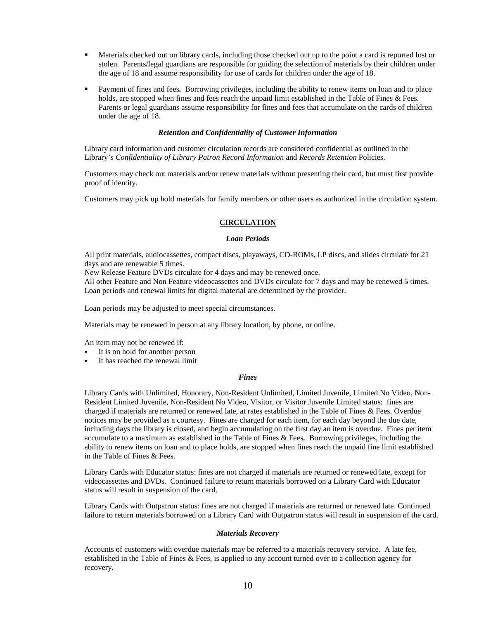- Materials checked out on library cards, including those checked out up to the point a card is reported lost or stolen. Parents/legal guardians are responsible for guiding the selection of materials by their children under the age of 18 and assume responsibility for use of cards for children under the age of 18.
- Payment of fines and fees*.* Borrowing privileges, including the ability to renew items on loan and to place holds, are stopped when fines and fees reach the unpaid limit established in the Table of Fines & Fees. Parents or legal guardians assume responsibility for fines and fees that accumulate on the cards of children under the age of 18.

#### *Retention and Confidentiality of Customer Information*

Library card information and customer circulation records are considered confidential as outlined in the Library's *Confidentiality of Library Patron Record Information* and *Records Retention* Policies.

Customers may check out materials and/or renew materials without presenting their card, but must first provide proof of identity.

Customers may pick up hold materials for family members or other users as authorized in the circulation system.

#### **CIRCULATION**

#### *Loan Periods*

All print materials, audiocassettes, compact discs, playaways, CD-ROMs, LP discs, and slides circulate for 21 days and are renewable 5 times.

New Release Feature DVDs circulate for 4 days and may be renewed once.

All other Feature and Non Feature videocassettes and DVDs circulate for 7 days and may be renewed 5 times. Loan periods and renewal limits for digital material are determined by the provider.

Loan periods may be adjusted to meet special circumstances.

Materials may be renewed in person at any library location, by phone, or online.

An item may not be renewed if:

- It is on hold for another person
- It has reached the renewal limit

#### *Fines*

Library Cards with Unlimited, Honorary, Non-Resident Unlimited, Limited Juvenile, Limited No Video, Non-Resident Limited Juvenile, Non-Resident No Video, Visitor, or Visitor Juvenile Limited status: fines are charged if materials are returned or renewed late, at rates established in the Table of Fines & Fees. Overdue notices may be provided as a courtesy. Fines are charged for each item, for each day beyond the due date, including days the library is closed, and begin accumulating on the first day an item is overdue. Fines per item accumulate to a maximum as established in the Table of Fines & Fees*.* Borrowing privileges, including the ability to renew items on loan and to place holds, are stopped when fines reach the unpaid fine limit established in the Table of Fines & Fees.

Library Cards with Educator status: fines are not charged if materials are returned or renewed late, except for videocassettes and DVDs. Continued failure to return materials borrowed on a Library Card with Educator status will result in suspension of the card.

Library Cards with Outpatron status: fines are not charged if materials are returned or renewed late. Continued failure to return materials borrowed on a Library Card with Outpatron status will result in suspension of the card.

#### *Materials Recovery*

Accounts of customers with overdue materials may be referred to a materials recovery service. A late fee, established in the Table of Fines & Fees, is applied to any account turned over to a collection agency for recovery.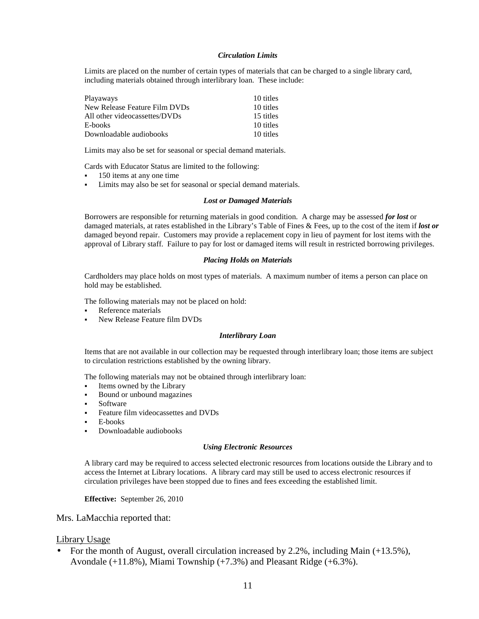#### *Circulation Limits*

Limits are placed on the number of certain types of materials that can be charged to a single library card, including materials obtained through interlibrary loan. These include:

| <b>Playaways</b>              | 10 titles |
|-------------------------------|-----------|
| New Release Feature Film DVDs | 10 titles |
| All other videocassettes/DVDs | 15 titles |
| E-books                       | 10 titles |
| Downloadable audiobooks       | 10 titles |

Limits may also be set for seasonal or special demand materials.

Cards with Educator Status are limited to the following:

- 150 items at any one time
- Limits may also be set for seasonal or special demand materials.

#### *Lost or Damaged Materials*

Borrowers are responsible for returning materials in good condition. A charge may be assessed *for lost* or damaged materials, at rates established in the Library's Table of Fines & Fees, up to the cost of the item if *lost or* damaged beyond repair. Customers may provide a replacement copy in lieu of payment for lost items with the approval of Library staff. Failure to pay for lost or damaged items will result in restricted borrowing privileges.

#### *Placing Holds on Materials*

Cardholders may place holds on most types of materials. A maximum number of items a person can place on hold may be established.

The following materials may not be placed on hold:

- **Reference materials**
- New Release Feature film DVDs

#### *Interlibrary Loan*

Items that are not available in our collection may be requested through interlibrary loan; those items are subject to circulation restrictions established by the owning library.

The following materials may not be obtained through interlibrary loan:

- Items owned by the Library
- Bound or unbound magazines
- **Software**
- Feature film videocassettes and DVDs
- E-books
- Downloadable audiobooks

#### *Using Electronic Resources*

A library card may be required to access selected electronic resources from locations outside the Library and to access the Internet at Library locations. A library card may still be used to access electronic resources if circulation privileges have been stopped due to fines and fees exceeding the established limit.

### **Effective:** September 26, 2010

Mrs. LaMacchia reported that:

### Library Usage

• For the month of August, overall circulation increased by 2.2%, including Main (+13.5%), Avondale (+11.8%), Miami Township (+7.3%) and Pleasant Ridge (+6.3%).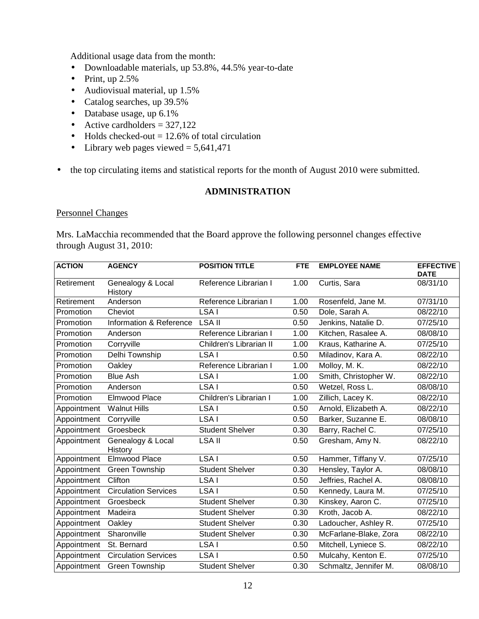Additional usage data from the month:

- Downloadable materials, up 53.8%, 44.5% year-to-date
- Print, up  $2.5\%$
- Audiovisual material, up 1.5%
- Catalog searches, up 39.5%
- Database usage, up 6.1%
- Active cardholders  $= 327,122$
- Holds checked-out  $= 12.6\%$  of total circulation
- Library web pages viewed  $= 5,641,471$
- the top circulating items and statistical reports for the month of August 2010 were submitted.

## **ADMINISTRATION**

## Personnel Changes

Mrs. LaMacchia recommended that the Board approve the following personnel changes effective through August 31, 2010:

| <b>ACTION</b> | <b>AGENCY</b>                | <b>POSITION TITLE</b>   | <b>FTE</b> | <b>EMPLOYEE NAME</b>  | <b>EFFECTIVE</b><br><b>DATE</b> |
|---------------|------------------------------|-------------------------|------------|-----------------------|---------------------------------|
| Retirement    | Genealogy & Local<br>History | Reference Librarian I   | 1.00       | Curtis, Sara          | 08/31/10                        |
| Retirement    | Anderson                     | Reference Librarian I   | 1.00       | Rosenfeld, Jane M.    | 07/31/10                        |
| Promotion     | Cheviot                      | LSA I                   | 0.50       | Dole, Sarah A.        | 08/22/10                        |
| Promotion     | Information & Reference      | <b>LSA II</b>           | 0.50       | Jenkins, Natalie D.   | 07/25/10                        |
| Promotion     | Anderson                     | Reference Librarian I   | 1.00       | Kitchen, Rasalee A.   | 08/08/10                        |
| Promotion     | Corryville                   | Children's Librarian II | 1.00       | Kraus, Katharine A.   | 07/25/10                        |
| Promotion     | Delhi Township               | LSA I                   | 0.50       | Miladinov, Kara A.    | 08/22/10                        |
| Promotion     | Oakley                       | Reference Librarian I   | 1.00       | Molloy, M. K.         | 08/22/10                        |
| Promotion     | <b>Blue Ash</b>              | LSA I                   | 1.00       | Smith, Christopher W. | 08/22/10                        |
| Promotion     | Anderson                     | LSA I                   | 0.50       | Wetzel, Ross L.       | 08/08/10                        |
| Promotion     | <b>Elmwood Place</b>         | Children's Librarian I  | 1.00       | Zillich, Lacey K.     | 08/22/10                        |
| Appointment   | <b>Walnut Hills</b>          | LSA I                   | 0.50       | Arnold, Elizabeth A.  | 08/22/10                        |
| Appointment   | Corryville                   | LSA I                   | 0.50       | Barker, Suzanne E.    | 08/08/10                        |
| Appointment   | Groesbeck                    | <b>Student Shelver</b>  | 0.30       | Barry, Rachel C.      | 07/25/10                        |
| Appointment   | Genealogy & Local<br>History | <b>LSA II</b>           | 0.50       | Gresham, Amy N.       | 08/22/10                        |
| Appointment   | Elmwood Place                | LSA I                   | 0.50       | Hammer, Tiffany V.    | 07/25/10                        |
| Appointment   | Green Township               | <b>Student Shelver</b>  | 0.30       | Hensley, Taylor A.    | 08/08/10                        |
| Appointment   | Clifton                      | LSA I                   | 0.50       | Jeffries, Rachel A.   | 08/08/10                        |
| Appointment   | <b>Circulation Services</b>  | LSA I                   | 0.50       | Kennedy, Laura M.     | 07/25/10                        |
| Appointment   | Groesbeck                    | <b>Student Shelver</b>  | 0.30       | Kinskey, Aaron C.     | 07/25/10                        |
| Appointment   | Madeira                      | <b>Student Shelver</b>  | 0.30       | Kroth, Jacob A.       | 08/22/10                        |
| Appointment   | Oakley                       | <b>Student Shelver</b>  | 0.30       | Ladoucher, Ashley R.  | 07/25/10                        |
| Appointment   | Sharonville                  | <b>Student Shelver</b>  | 0.30       | McFarlane-Blake, Zora | 08/22/10                        |
| Appointment   | St. Bernard                  | LSA I                   | 0.50       | Mitchell, Lyniece S.  | 08/22/10                        |
| Appointment   | <b>Circulation Services</b>  | LSA I                   | 0.50       | Mulcahy, Kenton E.    | 07/25/10                        |
|               | Appointment Green Township   | <b>Student Shelver</b>  | 0.30       | Schmaltz, Jennifer M. | 08/08/10                        |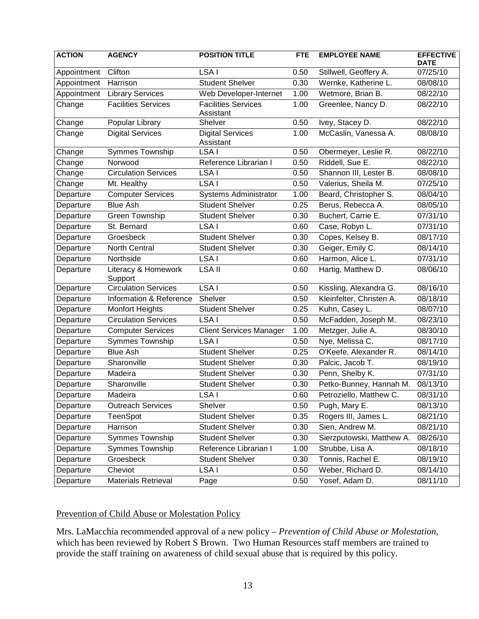| <b>ACTION</b> | <b>AGENCY</b>                  | <b>POSITION TITLE</b>                   | <b>FTE</b> | <b>EMPLOYEE NAME</b>      | <b>EFFECTIVE</b><br><b>DATE</b> |
|---------------|--------------------------------|-----------------------------------------|------------|---------------------------|---------------------------------|
| Appointment   | Clifton                        | LSA I                                   | 0.50       | Stillwell, Geoffery A.    | 07/25/10                        |
| Appointment   | Harrison                       | <b>Student Shelver</b>                  | 0.30       | Wernke, Katherine L.      | 08/08/10                        |
| Appointment   | <b>Library Services</b>        | Web Developer-Internet                  | 1.00       | Wetmore, Brian B.         | 08/22/10                        |
| Change        | <b>Facilities Services</b>     | <b>Facilities Services</b><br>Assistant | 1.00       | Greenlee, Nancy D.        | 08/22/10                        |
| Change        | Popular Library                | Shelver                                 | 0.50       | Ivey, Stacey D.           | 08/22/10                        |
| Change        | <b>Digital Services</b>        | <b>Digital Services</b><br>Assistant    | 1.00       | McCaslin, Vanessa A.      | 08/08/10                        |
| Change        | Symmes Township                | LSA I                                   | 0.50       | Obermeyer, Leslie R.      | 08/22/10                        |
| Change        | Norwood                        | Reference Librarian I                   | 0.50       | Riddell, Sue E.           | 08/22/10                        |
| Change        | <b>Circulation Services</b>    | LSA I                                   | 0.50       | Shannon III, Lester B.    | 08/08/10                        |
| Change        | Mt. Healthy                    | LSA I                                   | 0.50       | Valerius, Sheila M.       | 07/25/10                        |
| Departure     | <b>Computer Services</b>       | Systems Administrator                   | 1.00       | Beard, Christopher S.     | 08/04/10                        |
| Departure     | <b>Blue Ash</b>                | <b>Student Shelver</b>                  | 0.25       | Berus, Rebecca A.         | 08/05/10                        |
| Departure     | <b>Green Township</b>          | <b>Student Shelver</b>                  | 0.30       | Buchert, Carrie E.        | 07/31/10                        |
| Departure     | St. Bernard                    | LSA I                                   | 0.60       | Case, Robyn L.            | 07/31/10                        |
| Departure     | Groesbeck                      | <b>Student Shelver</b>                  | 0.30       | Copes, Kelsey B.          | 08/17/10                        |
| Departure     | <b>North Central</b>           | <b>Student Shelver</b>                  | 0.30       | Geiger, Emily C.          | 08/14/10                        |
| Departure     | Northside                      | LSA I                                   | 0.60       | Harmon, Alice L.          | 07/31/10                        |
| Departure     | Literacy & Homework<br>Support | <b>LSA II</b>                           | 0.60       | Hartig, Matthew D.        | 08/06/10                        |
| Departure     | <b>Circulation Services</b>    | LSA <sub>I</sub>                        | 0.50       | Kissling, Alexandra G.    | 08/16/10                        |
| Departure     | Information & Reference        | Shelver                                 | 0.50       | Kleinfelter, Christen A.  | 08/18/10                        |
| Departure     | <b>Monfort Heights</b>         | <b>Student Shelver</b>                  | 0.25       | Kuhn, Casey L.            | 08/07/10                        |
| Departure     | <b>Circulation Services</b>    | LSA I                                   | 0.50       | McFadden, Joseph M.       | 08/23/10                        |
| Departure     | <b>Computer Services</b>       | <b>Client Services Manager</b>          | 1.00       | Metzger, Julie A.         | 08/30/10                        |
| Departure     | Symmes Township                | LSA I                                   | 0.50       | Nye, Melissa C.           | 08/17/10                        |
| Departure     | <b>Blue Ash</b>                | <b>Student Shelver</b>                  | 0.25       | O'Keefe, Alexander R.     | 08/14/10                        |
| Departure     | Sharonville                    | <b>Student Shelver</b>                  | 0.30       | Palcic, Jacob T.          | 08/19/10                        |
| Departure     | Madeira                        | <b>Student Shelver</b>                  | 0.30       | Penn, Shelby K.           | 07/31/10                        |
| Departure     | Sharonville                    | <b>Student Shelver</b>                  | 0.30       | Petko-Bunney, Hannah M.   | 08/13/10                        |
| Departure     | Madeira                        | LSA I                                   | 0.60       | Petroziello, Matthew C.   | 08/31/10                        |
| Departure     | <b>Outreach Services</b>       | Shelver                                 | 0.50       | Pugh, Mary E.             | 08/13/10                        |
| Departure     | TeenSpot                       | <b>Student Shelver</b>                  | 0.35       | Rogers III, James L.      | 08/21/10                        |
| Departure     | Harrison                       | <b>Student Shelver</b>                  | 0.30       | Sien, Andrew M.           | 08/21/10                        |
| Departure     | Symmes Township                | <b>Student Shelver</b>                  | 0.30       | Sierzputowski, Matthew A. | 08/26/10                        |
| Departure     | Symmes Township                | Reference Librarian I                   | 1.00       | Strubbe, Lisa A.          | 08/18/10                        |
| Departure     | Groesbeck                      | <b>Student Shelver</b>                  | 0.30       | Tonnis, Rachel E.         | 08/19/10                        |
| Departure     | Cheviot                        | LSA I                                   | 0.50       | Weber, Richard D.         | 08/14/10                        |
| Departure     | <b>Materials Retrieval</b>     | Page                                    | 0.50       | Yosef, Adam D.            | 08/11/10                        |

# Prevention of Child Abuse or Molestation Policy

Mrs. LaMacchia recommended approval of a new policy – *Prevention of Child Abuse or Molestation*, which has been reviewed by Robert S Brown. Two Human Resources staff members are trained to provide the staff training on awareness of child sexual abuse that is required by this policy.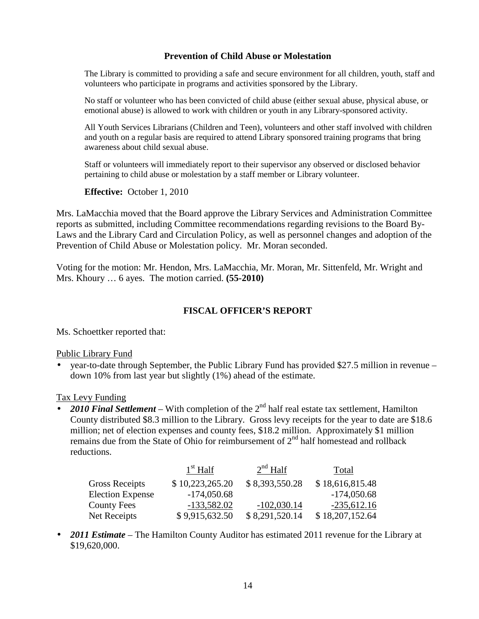### **Prevention of Child Abuse or Molestation**

The Library is committed to providing a safe and secure environment for all children, youth, staff and volunteers who participate in programs and activities sponsored by the Library.

No staff or volunteer who has been convicted of child abuse (either sexual abuse, physical abuse, or emotional abuse) is allowed to work with children or youth in any Library-sponsored activity.

All Youth Services Librarians (Children and Teen), volunteers and other staff involved with children and youth on a regular basis are required to attend Library sponsored training programs that bring awareness about child sexual abuse.

Staff or volunteers will immediately report to their supervisor any observed or disclosed behavior pertaining to child abuse or molestation by a staff member or Library volunteer.

**Effective:** October 1, 2010

Mrs. LaMacchia moved that the Board approve the Library Services and Administration Committee reports as submitted, including Committee recommendations regarding revisions to the Board By-Laws and the Library Card and Circulation Policy, as well as personnel changes and adoption of the Prevention of Child Abuse or Molestation policy. Mr. Moran seconded.

Voting for the motion: Mr. Hendon, Mrs. LaMacchia, Mr. Moran, Mr. Sittenfeld, Mr. Wright and Mrs. Khoury … 6 ayes. The motion carried. **(55-2010)**

## **FISCAL OFFICER'S REPORT**

Ms. Schoettker reported that:

### Public Library Fund

• year-to-date through September, the Public Library Fund has provided \$27.5 million in revenue – down 10% from last year but slightly (1%) ahead of the estimate.

### Tax Levy Funding

• 2010 Final Settlement – With completion of the 2<sup>nd</sup> half real estate tax settlement, Hamilton County distributed \$8.3 million to the Library. Gross levy receipts for the year to date are \$18.6 million; net of election expenses and county fees, \$18.2 million. Approximately \$1 million remains due from the State of Ohio for reimbursement of  $2<sup>nd</sup>$  half homestead and rollback reductions.

|                         | $1st$ Half      | $2nd$ Half     | Total           |
|-------------------------|-----------------|----------------|-----------------|
| <b>Gross Receipts</b>   | \$10,223,265.20 | \$8,393,550.28 | \$18,616,815.48 |
| <b>Election Expense</b> | $-174,050.68$   |                | $-174,050.68$   |
| <b>County Fees</b>      | $-133,582.02$   | $-102,030.14$  | $-235,612.16$   |
| Net Receipts            | \$9,915,632.50  | \$8,291,520.14 | \$18,207,152.64 |

• **2011 Estimate** – The Hamilton County Auditor has estimated 2011 revenue for the Library at \$19,620,000.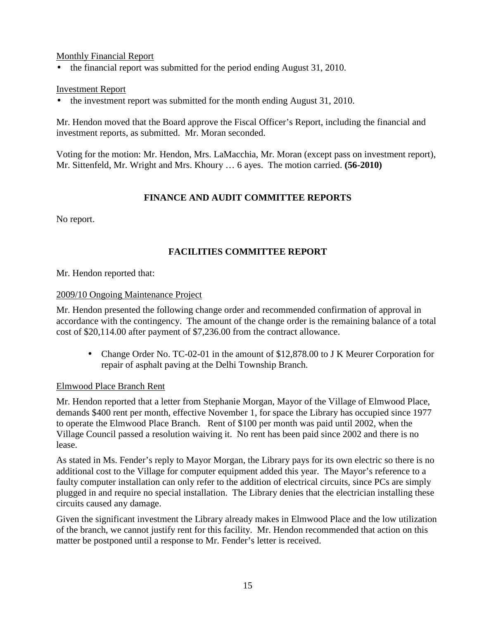### Monthly Financial Report

• the financial report was submitted for the period ending August 31, 2010.

## Investment Report

• the investment report was submitted for the month ending August 31, 2010.

Mr. Hendon moved that the Board approve the Fiscal Officer's Report, including the financial and investment reports, as submitted. Mr. Moran seconded.

Voting for the motion: Mr. Hendon, Mrs. LaMacchia, Mr. Moran (except pass on investment report), Mr. Sittenfeld, Mr. Wright and Mrs. Khoury … 6 ayes. The motion carried. **(56-2010)**

## **FINANCE AND AUDIT COMMITTEE REPORTS**

No report.

# **FACILITIES COMMITTEE REPORT**

Mr. Hendon reported that:

## 2009/10 Ongoing Maintenance Project

Mr. Hendon presented the following change order and recommended confirmation of approval in accordance with the contingency. The amount of the change order is the remaining balance of a total cost of \$20,114.00 after payment of \$7,236.00 from the contract allowance.

• Change Order No. TC-02-01 in the amount of \$12,878.00 to J K Meurer Corporation for repair of asphalt paving at the Delhi Township Branch.

### Elmwood Place Branch Rent

Mr. Hendon reported that a letter from Stephanie Morgan, Mayor of the Village of Elmwood Place, demands \$400 rent per month, effective November 1, for space the Library has occupied since 1977 to operate the Elmwood Place Branch. Rent of \$100 per month was paid until 2002, when the Village Council passed a resolution waiving it. No rent has been paid since 2002 and there is no lease.

As stated in Ms. Fender's reply to Mayor Morgan, the Library pays for its own electric so there is no additional cost to the Village for computer equipment added this year. The Mayor's reference to a faulty computer installation can only refer to the addition of electrical circuits, since PCs are simply plugged in and require no special installation. The Library denies that the electrician installing these circuits caused any damage.

Given the significant investment the Library already makes in Elmwood Place and the low utilization of the branch, we cannot justify rent for this facility. Mr. Hendon recommended that action on this matter be postponed until a response to Mr. Fender's letter is received.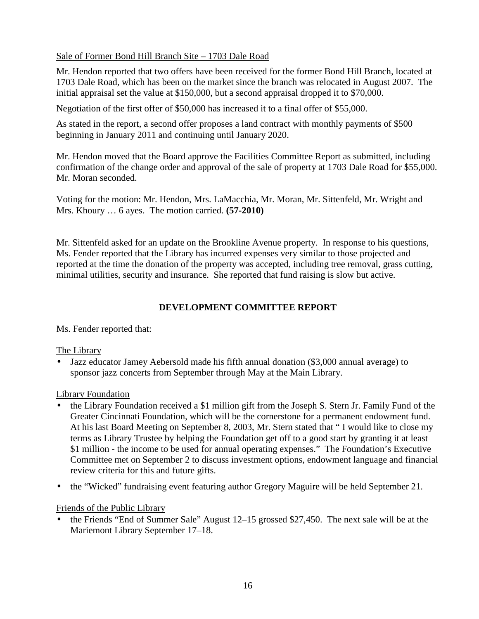## Sale of Former Bond Hill Branch Site – 1703 Dale Road

Mr. Hendon reported that two offers have been received for the former Bond Hill Branch, located at 1703 Dale Road, which has been on the market since the branch was relocated in August 2007. The initial appraisal set the value at \$150,000, but a second appraisal dropped it to \$70,000.

Negotiation of the first offer of \$50,000 has increased it to a final offer of \$55,000.

As stated in the report, a second offer proposes a land contract with monthly payments of \$500 beginning in January 2011 and continuing until January 2020.

Mr. Hendon moved that the Board approve the Facilities Committee Report as submitted, including confirmation of the change order and approval of the sale of property at 1703 Dale Road for \$55,000. Mr. Moran seconded.

Voting for the motion: Mr. Hendon, Mrs. LaMacchia, Mr. Moran, Mr. Sittenfeld, Mr. Wright and Mrs. Khoury … 6 ayes. The motion carried. **(57-2010)**

Mr. Sittenfeld asked for an update on the Brookline Avenue property. In response to his questions, Ms. Fender reported that the Library has incurred expenses very similar to those projected and reported at the time the donation of the property was accepted, including tree removal, grass cutting, minimal utilities, security and insurance. She reported that fund raising is slow but active.

## **DEVELOPMENT COMMITTEE REPORT**

Ms. Fender reported that:

## The Library

• Jazz educator Jamey Aebersold made his fifth annual donation (\$3,000 annual average) to sponsor jazz concerts from September through May at the Main Library.

### Library Foundation

- the Library Foundation received a \$1 million gift from the Joseph S. Stern Jr. Family Fund of the Greater Cincinnati Foundation, which will be the cornerstone for a permanent endowment fund. At his last Board Meeting on September 8, 2003, Mr. Stern stated that " I would like to close my terms as Library Trustee by helping the Foundation get off to a good start by granting it at least \$1 million - the income to be used for annual operating expenses." The Foundation's Executive Committee met on September 2 to discuss investment options, endowment language and financial review criteria for this and future gifts.
- the "Wicked" fundraising event featuring author Gregory Maguire will be held September 21.

### Friends of the Public Library

• the Friends "End of Summer Sale" August 12–15 grossed \$27,450. The next sale will be at the Mariemont Library September 17–18.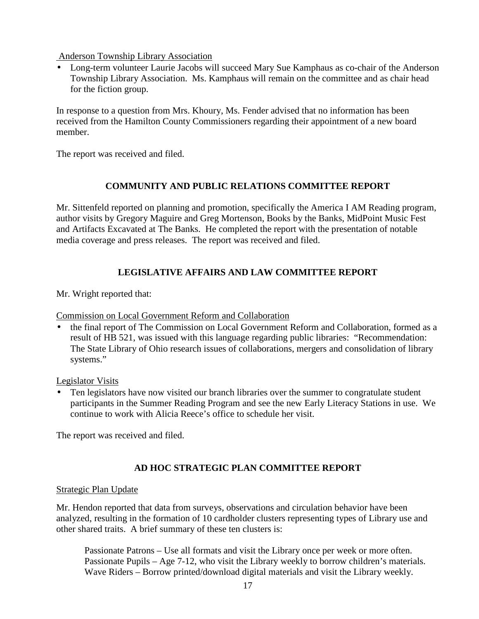Anderson Township Library Association

• Long-term volunteer Laurie Jacobs will succeed Mary Sue Kamphaus as co-chair of the Anderson Township Library Association. Ms. Kamphaus will remain on the committee and as chair head for the fiction group.

In response to a question from Mrs. Khoury, Ms. Fender advised that no information has been received from the Hamilton County Commissioners regarding their appointment of a new board member.

The report was received and filed.

# **COMMUNITY AND PUBLIC RELATIONS COMMITTEE REPORT**

Mr. Sittenfeld reported on planning and promotion, specifically the America I AM Reading program, author visits by Gregory Maguire and Greg Mortenson, Books by the Banks, MidPoint Music Fest and Artifacts Excavated at The Banks. He completed the report with the presentation of notable media coverage and press releases. The report was received and filed.

# **LEGISLATIVE AFFAIRS AND LAW COMMITTEE REPORT**

Mr. Wright reported that:

Commission on Local Government Reform and Collaboration

• the final report of The Commission on Local Government Reform and Collaboration, formed as a result of HB 521, was issued with this language regarding public libraries: "Recommendation: The State Library of Ohio research issues of collaborations, mergers and consolidation of library systems."

Legislator Visits

• Ten legislators have now visited our branch libraries over the summer to congratulate student participants in the Summer Reading Program and see the new Early Literacy Stations in use. We continue to work with Alicia Reece's office to schedule her visit.

The report was received and filed.

# **AD HOC STRATEGIC PLAN COMMITTEE REPORT**

### Strategic Plan Update

Mr. Hendon reported that data from surveys, observations and circulation behavior have been analyzed, resulting in the formation of 10 cardholder clusters representing types of Library use and other shared traits. A brief summary of these ten clusters is:

Passionate Patrons – Use all formats and visit the Library once per week or more often. Passionate Pupils – Age 7-12, who visit the Library weekly to borrow children's materials. Wave Riders – Borrow printed/download digital materials and visit the Library weekly.